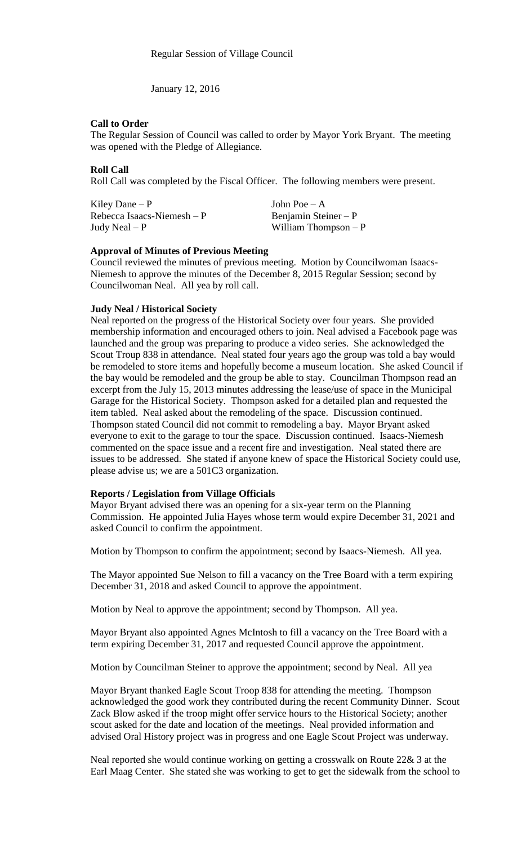January 12, 2016

## **Call to Order**

The Regular Session of Council was called to order by Mayor York Bryant. The meeting was opened with the Pledge of Allegiance.

## **Roll Call**

Roll Call was completed by the Fiscal Officer. The following members were present.

Kiley Dane – P  $\qquad \qquad$  John Poe – A  $Rebecca Isaacs-Niemesh - P$  Benjamin Steiner – P Judy Neal – P William Thompson – P

#### **Approval of Minutes of Previous Meeting**

Council reviewed the minutes of previous meeting. Motion by Councilwoman Isaacs-Niemesh to approve the minutes of the December 8, 2015 Regular Session; second by Councilwoman Neal. All yea by roll call.

## **Judy Neal / Historical Society**

Neal reported on the progress of the Historical Society over four years. She provided membership information and encouraged others to join. Neal advised a Facebook page was launched and the group was preparing to produce a video series. She acknowledged the Scout Troup 838 in attendance. Neal stated four years ago the group was told a bay would be remodeled to store items and hopefully become a museum location. She asked Council if the bay would be remodeled and the group be able to stay. Councilman Thompson read an excerpt from the July 15, 2013 minutes addressing the lease/use of space in the Municipal Garage for the Historical Society. Thompson asked for a detailed plan and requested the item tabled. Neal asked about the remodeling of the space. Discussion continued. Thompson stated Council did not commit to remodeling a bay. Mayor Bryant asked everyone to exit to the garage to tour the space. Discussion continued. Isaacs-Niemesh commented on the space issue and a recent fire and investigation. Neal stated there are issues to be addressed. She stated if anyone knew of space the Historical Society could use, please advise us; we are a 501C3 organization.

#### **Reports / Legislation from Village Officials**

Mayor Bryant advised there was an opening for a six-year term on the Planning Commission. He appointed Julia Hayes whose term would expire December 31, 2021 and asked Council to confirm the appointment.

Motion by Thompson to confirm the appointment; second by Isaacs-Niemesh. All yea.

The Mayor appointed Sue Nelson to fill a vacancy on the Tree Board with a term expiring December 31, 2018 and asked Council to approve the appointment.

Motion by Neal to approve the appointment; second by Thompson. All yea.

Mayor Bryant also appointed Agnes McIntosh to fill a vacancy on the Tree Board with a term expiring December 31, 2017 and requested Council approve the appointment.

Motion by Councilman Steiner to approve the appointment; second by Neal. All yea

Mayor Bryant thanked Eagle Scout Troop 838 for attending the meeting. Thompson acknowledged the good work they contributed during the recent Community Dinner. Scout Zack Blow asked if the troop might offer service hours to the Historical Society; another scout asked for the date and location of the meetings. Neal provided information and advised Oral History project was in progress and one Eagle Scout Project was underway.

Neal reported she would continue working on getting a crosswalk on Route 22& 3 at the Earl Maag Center. She stated she was working to get to get the sidewalk from the school to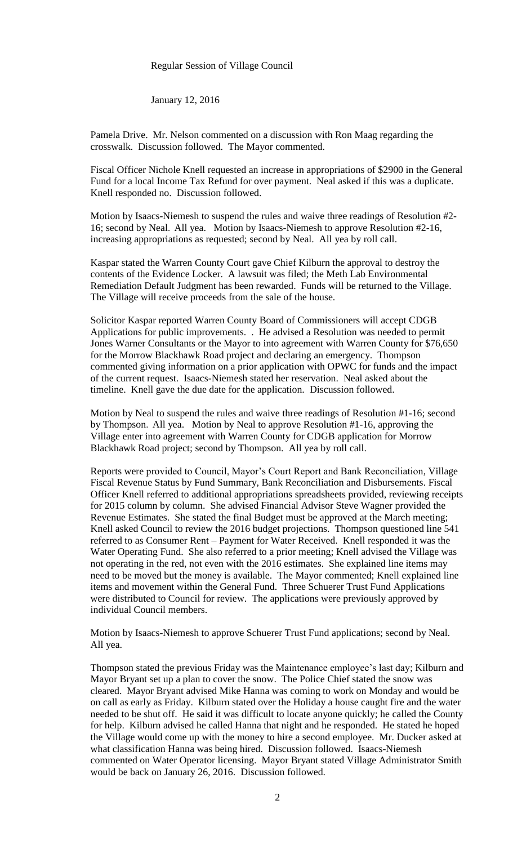#### Regular Session of Village Council

January 12, 2016

Pamela Drive. Mr. Nelson commented on a discussion with Ron Maag regarding the crosswalk. Discussion followed. The Mayor commented.

Fiscal Officer Nichole Knell requested an increase in appropriations of \$2900 in the General Fund for a local Income Tax Refund for over payment. Neal asked if this was a duplicate. Knell responded no. Discussion followed.

Motion by Isaacs-Niemesh to suspend the rules and waive three readings of Resolution #2- 16; second by Neal. All yea. Motion by Isaacs-Niemesh to approve Resolution #2-16, increasing appropriations as requested; second by Neal. All yea by roll call.

Kaspar stated the Warren County Court gave Chief Kilburn the approval to destroy the contents of the Evidence Locker. A lawsuit was filed; the Meth Lab Environmental Remediation Default Judgment has been rewarded. Funds will be returned to the Village. The Village will receive proceeds from the sale of the house.

Solicitor Kaspar reported Warren County Board of Commissioners will accept CDGB Applications for public improvements. . He advised a Resolution was needed to permit Jones Warner Consultants or the Mayor to into agreement with Warren County for \$76,650 for the Morrow Blackhawk Road project and declaring an emergency. Thompson commented giving information on a prior application with OPWC for funds and the impact of the current request. Isaacs-Niemesh stated her reservation. Neal asked about the timeline. Knell gave the due date for the application. Discussion followed.

Motion by Neal to suspend the rules and waive three readings of Resolution #1-16; second by Thompson. All yea. Motion by Neal to approve Resolution #1-16, approving the Village enter into agreement with Warren County for CDGB application for Morrow Blackhawk Road project; second by Thompson. All yea by roll call.

Reports were provided to Council, Mayor's Court Report and Bank Reconciliation, Village Fiscal Revenue Status by Fund Summary, Bank Reconciliation and Disbursements. Fiscal Officer Knell referred to additional appropriations spreadsheets provided, reviewing receipts for 2015 column by column. She advised Financial Advisor Steve Wagner provided the Revenue Estimates. She stated the final Budget must be approved at the March meeting; Knell asked Council to review the 2016 budget projections. Thompson questioned line 541 referred to as Consumer Rent – Payment for Water Received. Knell responded it was the Water Operating Fund. She also referred to a prior meeting; Knell advised the Village was not operating in the red, not even with the 2016 estimates. She explained line items may need to be moved but the money is available. The Mayor commented; Knell explained line items and movement within the General Fund. Three Schuerer Trust Fund Applications were distributed to Council for review. The applications were previously approved by individual Council members.

Motion by Isaacs-Niemesh to approve Schuerer Trust Fund applications; second by Neal. All yea.

Thompson stated the previous Friday was the Maintenance employee's last day; Kilburn and Mayor Bryant set up a plan to cover the snow. The Police Chief stated the snow was cleared. Mayor Bryant advised Mike Hanna was coming to work on Monday and would be on call as early as Friday. Kilburn stated over the Holiday a house caught fire and the water needed to be shut off. He said it was difficult to locate anyone quickly; he called the County for help. Kilburn advised he called Hanna that night and he responded. He stated he hoped the Village would come up with the money to hire a second employee. Mr. Ducker asked at what classification Hanna was being hired. Discussion followed. Isaacs-Niemesh commented on Water Operator licensing. Mayor Bryant stated Village Administrator Smith would be back on January 26, 2016. Discussion followed.